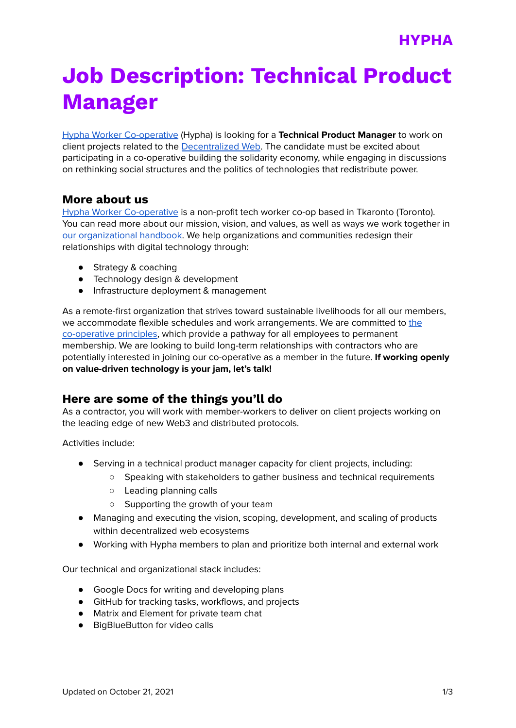# **Job Description: Technical Product Manager**

Hypha Worker [Co-operative](https://hypha.coop/) (Hypha) is looking for a **Technical Product Manager** to work on client projects related to the [Decentralized](https://getdweb.net/) Web. The candidate must be excited about participating in a co-operative building the solidarity economy, while engaging in discussions on rethinking social structures and the politics of technologies that redistribute power.

### **More about us**

Hypha Worker [Co-operative](https://hypha.coop/) is a non-profit tech worker co-op based in Tkaronto (Toronto). You can read more about our mission, vision, and values, as well as ways we work together in our [organizational](https://handbook.hypha.coop/) handbook. We help organizations and communities redesign their relationships with digital technology through:

- Strategy & coaching
- Technology design & development
- Infrastructure deployment & management

As a remote-first organization that strives toward sustainable livelihoods for all our members, we accommodate flexible schedules and work arrangements. We are committed to [the](https://www.ica.coop/en/cooperatives/cooperative-identity) [co-operative](https://www.ica.coop/en/cooperatives/cooperative-identity) principles, which provide a pathway for all employees to permanent membership. We are looking to build long-term relationships with contractors who are potentially interested in joining our co-operative as a member in the future. **If working openly on value-driven technology is your jam, let's talk!**

# **Here are some of the things you'll do**

As a contractor, you will work with member-workers to deliver on client projects working on the leading edge of new Web3 and distributed protocols.

Activities include:

- Serving in a technical product manager capacity for client projects, including:
	- Speaking with stakeholders to gather business and technical requirements
	- Leading planning calls
	- Supporting the growth of your team
- Managing and executing the vision, scoping, development, and scaling of products within decentralized web ecosystems
- Working with Hypha members to plan and prioritize both internal and external work

Our technical and organizational stack includes:

- Google Docs for writing and developing plans
- GitHub for tracking tasks, workflows, and projects
- Matrix and Element for private team chat
- BigBlueButton for video calls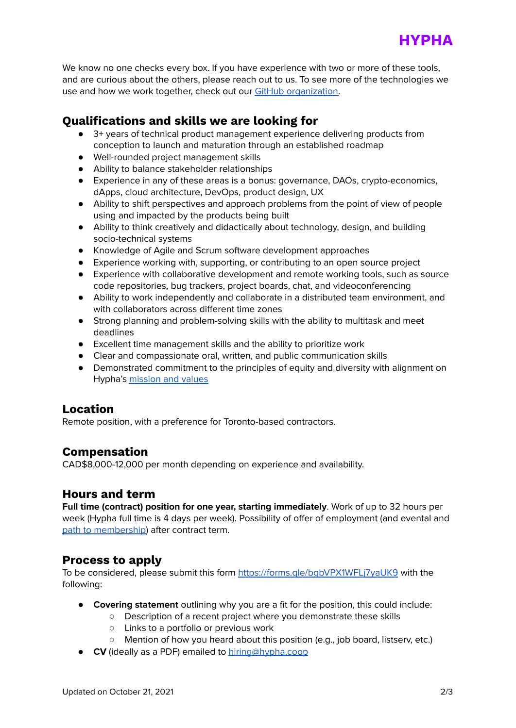

We know no one checks every box. If you have experience with two or more of these tools, and are curious about the others, please reach out to us. To see more of the technologies we use and how we work together, check out our GitHub [organization.](https://github.com/hyphacoop)

# **Qualifications and skills we are looking for**

- 3+ years of technical product management experience delivering products from conception to launch and maturation through an established roadmap
- Well-rounded project management skills
- Ability to balance stakeholder relationships
- Experience in any of these areas is a bonus: governance, DAOs, crypto-economics, dApps, cloud architecture, DevOps, product design, UX
- Ability to shift perspectives and approach problems from the point of view of people using and impacted by the products being built
- Ability to think creatively and didactically about technology, design, and building socio-technical systems
- Knowledge of Agile and Scrum software development approaches
- Experience working with, supporting, or contributing to an open source project
- Experience with collaborative development and remote working tools, such as source code repositories, bug trackers, project boards, chat, and videoconferencing
- Ability to work independently and collaborate in a distributed team environment, and with collaborators across different time zones
- Strong planning and problem-solving skills with the ability to multitask and meet deadlines
- Excellent time management skills and the ability to prioritize work
- Clear and compassionate oral, written, and public communication skills
- Demonstrated commitment to the principles of equity and diversity with alignment on Hypha's [mission](https://handbook.hypha.coop/vision.html) and values

### **Location**

Remote position, with a preference for Toronto-based contractors.

### **Compensation**

CAD\$8,000-12,000 per month depending on experience and availability.

### **Hours and term**

**Full time (contract) position for one year, starting immediately**. Work of up to 32 hours per week (Hypha full time is 4 days per week). Possibility of offer of employment (and evental and path to [membership\)](https://handbook.hypha.coop/bylaws.html#2-membership) after contract term.

### **Process to apply**

To be considered, please submit this form <https://forms.gle/bgbVPX1WFLj7yaUK9> with the following:

- **Covering statement** outlining why you are a fit for the position, this could include:
	- Description of a recent project where you demonstrate these skills
		- Links to a portfolio or previous work
		- Mention of how you heard about this position (e.g., job board, listserv, etc.)
- **CV** (ideally as a PDF) emailed to [hiring@hypha.coop](mailto:hiring@hypha.coop)